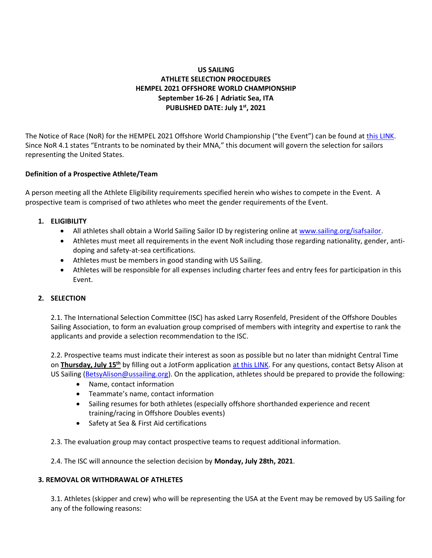# **US SAILING ATHLETE SELECTION PROCEDURES HEMPEL 2021 OFFSHORE WORLD CHAMPIONSHIP September 16-26 | Adriatic Sea, ITA PUBLISHED DATE: July 1 st, 2021**

The Notice of Race (NoR) for the HEMPEL 2021 Offshore World Championship ("the Event") can be found a[t this LINK.](https://www.ussailing.org/wp-content/uploads/2021/07/NOTICE-OF-RACE_MARINA-MILITARE-NASTRO-ROSA-TOUR.pdf) Since NoR 4.1 states "Entrants to be nominated by their MNA," this document will govern the selection for sailors representing the United States.

## **Definition of a Prospective Athlete/Team**

A person meeting all the Athlete Eligibility requirements specified herein who wishes to compete in the Event. A prospective team is comprised of two athletes who meet the gender requirements of the Event.

## **1. ELIGIBILITY**

- All athletes shall obtain a World Sailing Sailor ID by registering online at [www.sailing.org/isafsailor.](http://www.sailing.org/isafsailor)
- Athletes must meet all requirements in the event NoR including those regarding nationality, gender, antidoping and safety-at-sea certifications.
- Athletes must be members in good standing with US Sailing.
- Athletes will be responsible for all expenses including charter fees and entry fees for participation in this Event.

#### **2. SELECTION**

2.1. The International Selection Committee (ISC) has asked Larry Rosenfeld, President of the Offshore Doubles Sailing Association, to form an evaluation group comprised of members with integrity and expertise to rank the applicants and provide a selection recommendation to the ISC.

2.2. Prospective teams must indicate their interest as soon as possible but no later than midnight Central Time on **Thursday, July 15th** by filling out a JotForm application [at this LINK.](https://form.jotform.com/211794304695058) For any questions, contact Betsy Alison at US Sailing [\(BetsyAlison@ussailing.org\)](mailto:BetsyAlison@ussailing.org). On the application, athletes should be prepared to provide the following:

- Name, contact information
- Teammate's name, contact information
- Sailing resumes for both athletes (especially offshore shorthanded experience and recent training/racing in Offshore Doubles events)
- Safety at Sea & First Aid certifications

2.3. The evaluation group may contact prospective teams to request additional information.

2.4. The ISC will announce the selection decision by **Monday, July 28th, 2021**.

#### **3. REMOVAL OR WITHDRAWAL OF ATHLETES**

3.1. Athletes (skipper and crew) who will be representing the USA at the Event may be removed by US Sailing for any of the following reasons: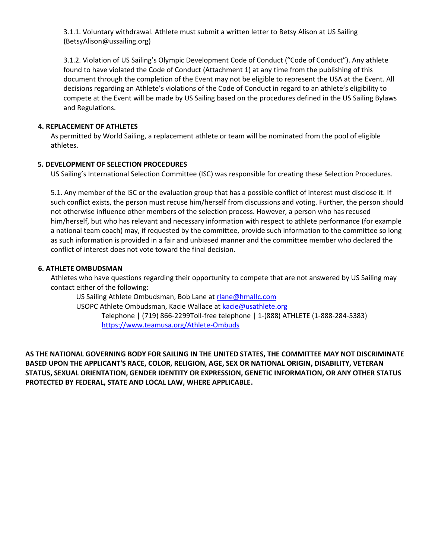3.1.1. Voluntary withdrawal. Athlete must submit a written letter to Betsy Alison at US Sailing (BetsyAlison@ussailing.org)

3.1.2. Violation of US Sailing's Olympic Development Code of Conduct ("Code of Conduct"). Any athlete found to have violated the Code of Conduct (Attachment 1) at any time from the publishing of this document through the completion of the Event may not be eligible to represent the USA at the Event. All decisions regarding an Athlete's violations of the Code of Conduct in regard to an athlete's eligibility to compete at the Event will be made by US Sailing based on the procedures defined in the US Sailing Bylaws and Regulations.

#### **4. REPLACEMENT OF ATHLETES**

As permitted by World Sailing, a replacement athlete or team will be nominated from the pool of eligible athletes.

## **5. DEVELOPMENT OF SELECTION PROCEDURES**

US Sailing's International Selection Committee (ISC) was responsible for creating these Selection Procedures.

5.1. Any member of the ISC or the evaluation group that has a possible conflict of interest must disclose it. If such conflict exists, the person must recuse him/herself from discussions and voting. Further, the person should not otherwise influence other members of the selection process. However, a person who has recused him/herself, but who has relevant and necessary information with respect to athlete performance (for example a national team coach) may, if requested by the committee, provide such information to the committee so long as such information is provided in a fair and unbiased manner and the committee member who declared the conflict of interest does not vote toward the final decision.

## **6. ATHLETE OMBUDSMAN**

Athletes who have questions regarding their opportunity to compete that are not answered by US Sailing may contact either of the following:

US Sailing Athlete Ombudsman, Bob Lane at [rlane@hmallc.com](mailto:rlane@hmallc.com) USOPC Athlete Ombudsman, Kacie Wallace at [kacie@usathlete.org](mailto:kacie@usathlete.org) Telephone | (719) 866-2299Toll-free telephone | 1-(888) ATHLETE (1-888-284-5383) <https://www.teamusa.org/Athlete-Ombuds>

**AS THE NATIONAL GOVERNING BODY FOR SAILING IN THE UNITED STATES, THE COMMITTEE MAY NOT DISCRIMINATE BASED UPON THE APPLICANT'S RACE, COLOR, RELIGION, AGE, SEX OR NATIONAL ORIGIN, DISABILITY, VETERAN STATUS, SEXUAL ORIENTATION, GENDER IDENTITY OR EXPRESSION, GENETIC INFORMATION, OR ANY OTHER STATUS PROTECTED BY FEDERAL, STATE AND LOCAL LAW, WHERE APPLICABLE.**